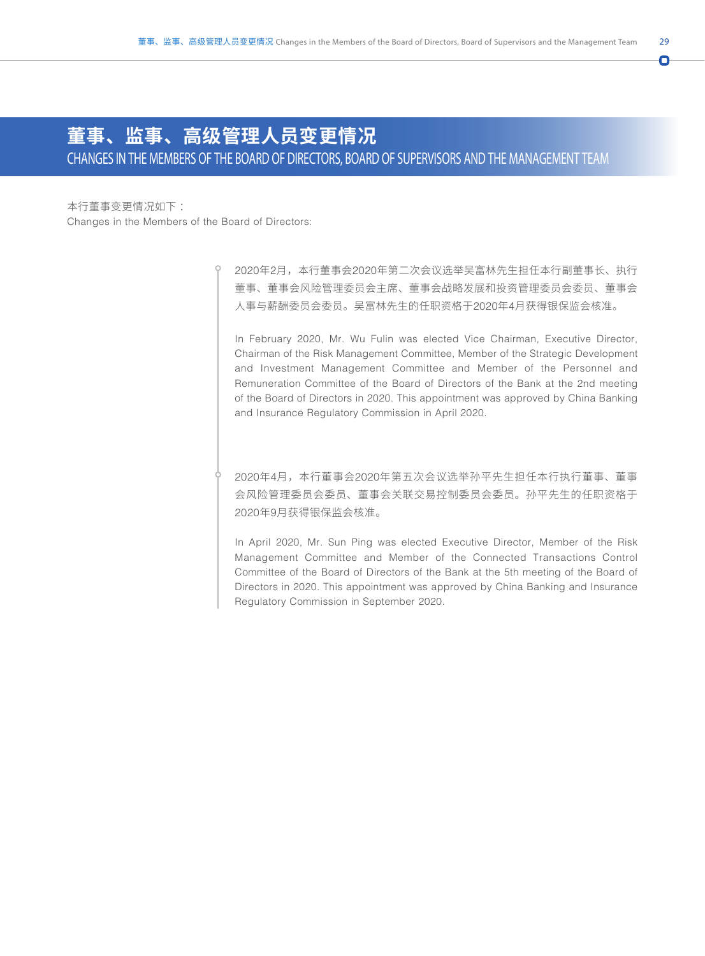Ō

## **董事、监事、高级管理人员变更情况**

CHANGES IN THE MEMBERS OF THE BOARD OF DIRECTORS, BOARD OF SUPERVISORS AND THE MANAGEMENT TEAM

本行董事变更情况如下 : Changes in the Members of the Board of Directors:

> 2020年2月,本行董事会2020年第二次会议选举吴富林先生担任本行副董事长、执行 董事、董事会风险管理委员会主席、董事会战略发展和投资管理委员会委员、董事会 人事与薪酬委员会委员。吴富林先生的任职资格于2020年4月获得银保监会核准。

In February 2020, Mr. Wu Fulin was elected Vice Chairman, Executive Director, Chairman of the Risk Management Committee, Member of the Strategic Development and Investment Management Committee and Member of the Personnel and Remuneration Committee of the Board of Directors of the Bank at the 2nd meeting of the Board of Directors in 2020. This appointment was approved by China Banking and Insurance Regulatory Commission in April 2020.

2020年4月,本行董事会2020年第五次会议选举孙平先生担任本行执行董事、董事 会风险管理委员会委员、董事会关联交易控制委员会委员。孙平先生的任职资格于 2020年9月获得银保监会核准。

In April 2020, Mr. Sun Ping was elected Executive Director, Member of the Risk Management Committee and Member of the Connected Transactions Control Committee of the Board of Directors of the Bank at the 5th meeting of the Board of Directors in 2020. This appointment was approved by China Banking and Insurance Regulatory Commission in September 2020.